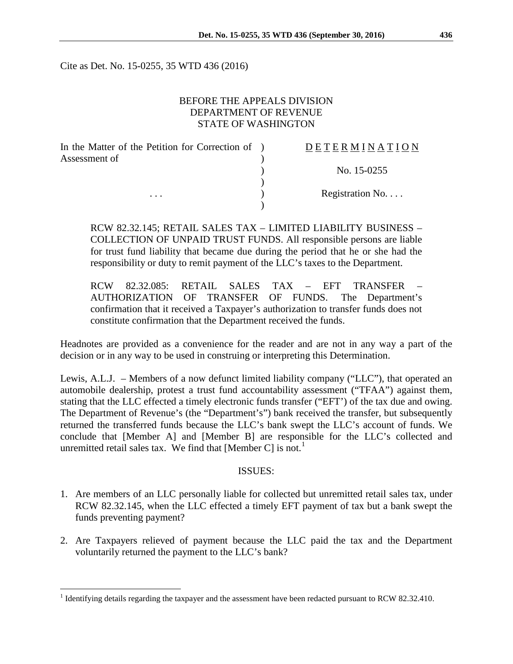Cite as Det. No. 15-0255, 35 WTD 436 (2016)

### BEFORE THE APPEALS DIVISION DEPARTMENT OF REVENUE STATE OF WASHINGTON

| In the Matter of the Petition for Correction of ) | DETERMINATION   |
|---------------------------------------------------|-----------------|
| Assessment of                                     |                 |
|                                                   | No. 15-0255     |
|                                                   |                 |
| $\cdots$                                          | Registration No |
|                                                   |                 |

RCW 82.32.145; RETAIL SALES TAX – LIMITED LIABILITY BUSINESS – COLLECTION OF UNPAID TRUST FUNDS. All responsible persons are liable for trust fund liability that became due during the period that he or she had the responsibility or duty to remit payment of the LLC's taxes to the Department.

RCW 82.32.085: RETAIL SALES TAX – EFT TRANSFER – AUTHORIZATION OF TRANSFER OF FUNDS. The Department's confirmation that it received a Taxpayer's authorization to transfer funds does not constitute confirmation that the Department received the funds.

Headnotes are provided as a convenience for the reader and are not in any way a part of the decision or in any way to be used in construing or interpreting this Determination.

Lewis, A.L.J. – Members of a now defunct limited liability company ("LLC"), that operated an automobile dealership, protest a trust fund accountability assessment ("TFAA") against them, stating that the LLC effected a timely electronic funds transfer ("EFT') of the tax due and owing. The Department of Revenue's (the "Department's") bank received the transfer, but subsequently returned the transferred funds because the LLC's bank swept the LLC's account of funds. We conclude that [Member A] and [Member B] are responsible for the LLC's collected and unremitted retail sales tax. We find that [Member C] is not.<sup>[1](#page-0-0)</sup>

#### ISSUES:

- 1. Are members of an LLC personally liable for collected but unremitted retail sales tax, under RCW 82.32.145, when the LLC effected a timely EFT payment of tax but a bank swept the funds preventing payment?
- 2. Are Taxpayers relieved of payment because the LLC paid the tax and the Department voluntarily returned the payment to the LLC's bank?

<span id="page-0-0"></span><sup>&</sup>lt;sup>1</sup> Identifying details regarding the taxpayer and the assessment have been redacted pursuant to RCW 82.32.410.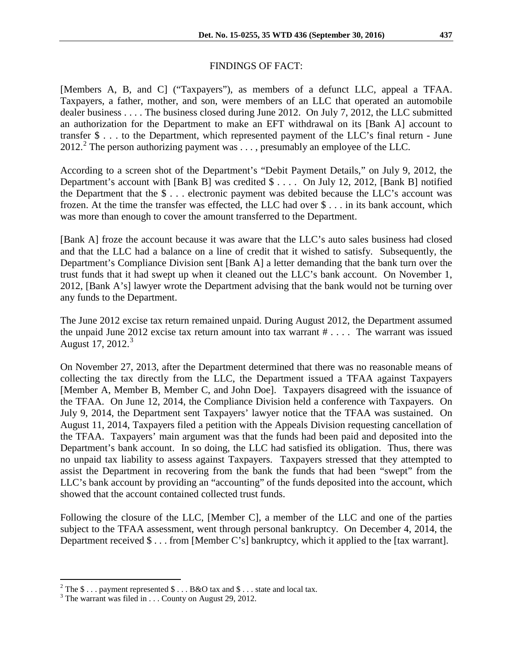#### FINDINGS OF FACT:

[Members A, B, and C] ("Taxpayers"), as members of a defunct LLC, appeal a TFAA. Taxpayers, a father, mother, and son, were members of an LLC that operated an automobile dealer business . . . . The business closed during June 2012. On July 7, 2012, the LLC submitted an authorization for the Department to make an EFT withdrawal on its [Bank A] account to transfer \$ . . . to the Department, which represented payment of the LLC's final return - June  $2012.<sup>2</sup>$  $2012.<sup>2</sup>$  The person authorizing payment was ..., presumably an employee of the LLC.

According to a screen shot of the Department's "Debit Payment Details," on July 9, 2012, the Department's account with [Bank B] was credited \$ . . . . On July 12, 2012, [Bank B] notified the Department that the \$ . . . electronic payment was debited because the LLC's account was frozen. At the time the transfer was effected, the LLC had over \$ . . . in its bank account, which was more than enough to cover the amount transferred to the Department.

[Bank A] froze the account because it was aware that the LLC's auto sales business had closed and that the LLC had a balance on a line of credit that it wished to satisfy. Subsequently, the Department's Compliance Division sent [Bank A] a letter demanding that the bank turn over the trust funds that it had swept up when it cleaned out the LLC's bank account. On November 1, 2012, [Bank A's] lawyer wrote the Department advising that the bank would not be turning over any funds to the Department.

The June 2012 excise tax return remained unpaid. During August 2012, the Department assumed the unpaid June 2012 excise tax return amount into tax warrant  $\# \ldots$ . The warrant was issued August 17,  $2012.<sup>3</sup>$  $2012.<sup>3</sup>$  $2012.<sup>3</sup>$ 

On November 27, 2013, after the Department determined that there was no reasonable means of collecting the tax directly from the LLC, the Department issued a TFAA against Taxpayers [Member A, Member B, Member C, and John Doe]. Taxpayers disagreed with the issuance of the TFAA. On June 12, 2014, the Compliance Division held a conference with Taxpayers. On July 9, 2014, the Department sent Taxpayers' lawyer notice that the TFAA was sustained. On August 11, 2014, Taxpayers filed a petition with the Appeals Division requesting cancellation of the TFAA. Taxpayers' main argument was that the funds had been paid and deposited into the Department's bank account. In so doing, the LLC had satisfied its obligation. Thus, there was no unpaid tax liability to assess against Taxpayers. Taxpayers stressed that they attempted to assist the Department in recovering from the bank the funds that had been "swept" from the LLC's bank account by providing an "accounting" of the funds deposited into the account, which showed that the account contained collected trust funds.

Following the closure of the LLC, [Member C], a member of the LLC and one of the parties subject to the TFAA assessment, went through personal bankruptcy. On December 4, 2014, the Department received \$ . . . from [Member C's] bankruptcy, which it applied to the [tax warrant].

<span id="page-1-0"></span><sup>&</sup>lt;sup>2</sup> The \$ . . . payment represented \$ . . . B&O tax and \$ . . . state and local tax.  $\frac{3}{100}$  The warrant was filed in . . . County on August 29, 2012.

<span id="page-1-1"></span>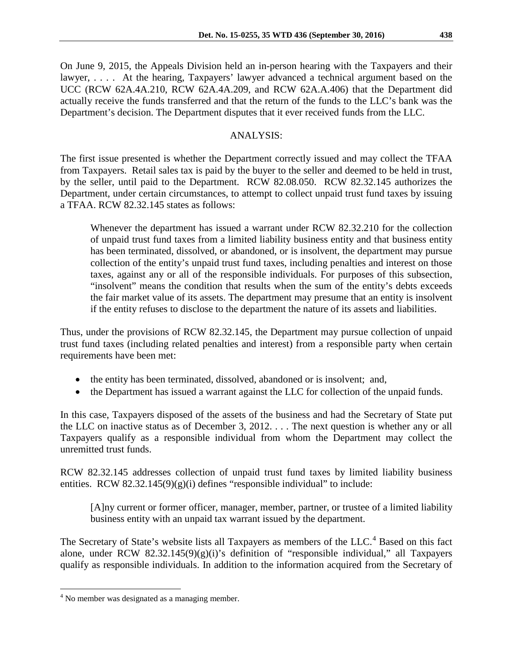On June 9, 2015, the Appeals Division held an in-person hearing with the Taxpayers and their lawyer, .... At the hearing, Taxpayers' lawyer advanced a technical argument based on the UCC (RCW 62A.4A.210, RCW 62A.4A.209, and RCW 62A.A.406) that the Department did actually receive the funds transferred and that the return of the funds to the LLC's bank was the Department's decision. The Department disputes that it ever received funds from the LLC.

## ANALYSIS:

The first issue presented is whether the Department correctly issued and may collect the TFAA from Taxpayers. Retail sales tax is paid by the buyer to the seller and deemed to be held in trust, by the seller, until paid to the Department. RCW 82.08.050. RCW 82.32.145 authorizes the Department, under certain circumstances, to attempt to collect unpaid trust fund taxes by issuing a TFAA. RCW 82.32.145 states as follows:

Whenever the department has issued a warrant under RCW 82.32.210 for the collection of unpaid trust fund taxes from a limited liability business entity and that business entity has been terminated, dissolved, or abandoned, or is insolvent, the department may pursue collection of the entity's unpaid trust fund taxes, including penalties and interest on those taxes, against any or all of the responsible individuals. For purposes of this subsection, "insolvent" means the condition that results when the sum of the entity's debts exceeds the fair market value of its assets. The department may presume that an entity is insolvent if the entity refuses to disclose to the department the nature of its assets and liabilities.

Thus, under the provisions of RCW 82.32.145, the Department may pursue collection of unpaid trust fund taxes (including related penalties and interest) from a responsible party when certain requirements have been met:

- the entity has been terminated, dissolved, abandoned or is insolvent; and,
- the Department has issued a warrant against the LLC for collection of the unpaid funds.

In this case, Taxpayers disposed of the assets of the business and had the Secretary of State put the LLC on inactive status as of December 3, 2012. . . . The next question is whether any or all Taxpayers qualify as a responsible individual from whom the Department may collect the unremitted trust funds.

RCW 82.32.145 addresses collection of unpaid trust fund taxes by limited liability business entities. RCW 82.32.145(9)(g)(i) defines "responsible individual" to include:

[A]ny current or former officer, manager, member, partner, or trustee of a limited liability business entity with an unpaid tax warrant issued by the department.

The Secretary of State's website lists all Taxpayers as members of the LLC.<sup>[4](#page-2-0)</sup> Based on this fact alone, under RCW 82.32.145(9)(g)(i)'s definition of "responsible individual," all Taxpayers qualify as responsible individuals. In addition to the information acquired from the Secretary of

<span id="page-2-0"></span><sup>&</sup>lt;sup>4</sup> No member was designated as a managing member.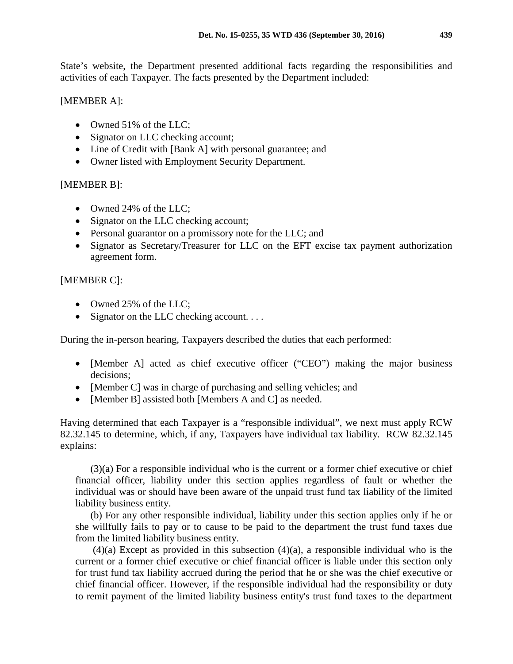State's website, the Department presented additional facts regarding the responsibilities and activities of each Taxpayer. The facts presented by the Department included:

### [MEMBER A]:

- Owned 51% of the LLC;
- Signator on LLC checking account;
- Line of Credit with [Bank A] with personal guarantee; and
- Owner listed with Employment Security Department.

## [MEMBER B]:

- Owned 24% of the LLC;
- Signator on the LLC checking account;
- Personal guarantor on a promissory note for the LLC; and
- Signator as Secretary/Treasurer for LLC on the EFT excise tax payment authorization agreement form.

# [MEMBER C]:

- Owned 25% of the LLC;
- Signator on the LLC checking account....

During the in-person hearing, Taxpayers described the duties that each performed:

- [Member A] acted as chief executive officer ("CEO") making the major business decisions;
- [Member C] was in charge of purchasing and selling vehicles; and
- [Member B] assisted both [Members A and C] as needed.

Having determined that each Taxpayer is a "responsible individual", we next must apply RCW 82.32.145 to determine, which, if any, Taxpayers have individual tax liability. RCW 82.32.145 explains:

(3)(a) For a responsible individual who is the current or a former chief executive or chief financial officer, liability under this section applies regardless of fault or whether the individual was or should have been aware of the unpaid trust fund tax liability of the limited liability business entity.

(b) For any other responsible individual, liability under this section applies only if he or she willfully fails to pay or to cause to be paid to the department the trust fund taxes due from the limited liability business entity.

 $(4)(a)$  Except as provided in this subsection  $(4)(a)$ , a responsible individual who is the current or a former chief executive or chief financial officer is liable under this section only for trust fund tax liability accrued during the period that he or she was the chief executive or chief financial officer. However, if the responsible individual had the responsibility or duty to remit payment of the limited liability business entity's trust fund taxes to the department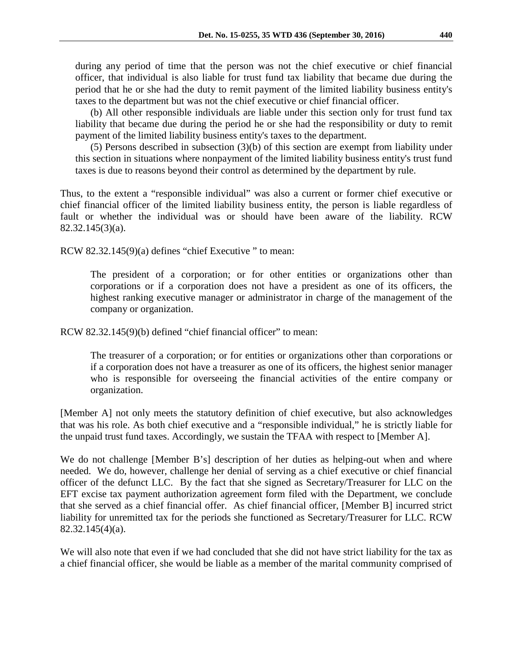during any period of time that the person was not the chief executive or chief financial officer, that individual is also liable for trust fund tax liability that became due during the period that he or she had the duty to remit payment of the limited liability business entity's taxes to the department but was not the chief executive or chief financial officer.

(b) All other responsible individuals are liable under this section only for trust fund tax liability that became due during the period he or she had the responsibility or duty to remit payment of the limited liability business entity's taxes to the department.

(5) Persons described in subsection (3)(b) of this section are exempt from liability under this section in situations where nonpayment of the limited liability business entity's trust fund taxes is due to reasons beyond their control as determined by the department by rule.

Thus, to the extent a "responsible individual" was also a current or former chief executive or chief financial officer of the limited liability business entity, the person is liable regardless of fault or whether the individual was or should have been aware of the liability. RCW 82.32.145(3)(a).

RCW 82.32.145(9)(a) defines "chief Executive " to mean:

The president of a corporation; or for other entities or organizations other than corporations or if a corporation does not have a president as one of its officers, the highest ranking executive manager or administrator in charge of the management of the company or organization.

RCW 82.32.145(9)(b) defined "chief financial officer" to mean:

The treasurer of a corporation; or for entities or organizations other than corporations or if a corporation does not have a treasurer as one of its officers, the highest senior manager who is responsible for overseeing the financial activities of the entire company or organization.

[Member A] not only meets the statutory definition of chief executive, but also acknowledges that was his role. As both chief executive and a "responsible individual," he is strictly liable for the unpaid trust fund taxes. Accordingly, we sustain the TFAA with respect to [Member A].

We do not challenge [Member B's] description of her duties as helping-out when and where needed. We do, however, challenge her denial of serving as a chief executive or chief financial officer of the defunct LLC. By the fact that she signed as Secretary/Treasurer for LLC on the EFT excise tax payment authorization agreement form filed with the Department, we conclude that she served as a chief financial offer. As chief financial officer, [Member B] incurred strict liability for unremitted tax for the periods she functioned as Secretary/Treasurer for LLC. RCW 82.32.145(4)(a).

We will also note that even if we had concluded that she did not have strict liability for the tax as a chief financial officer, she would be liable as a member of the marital community comprised of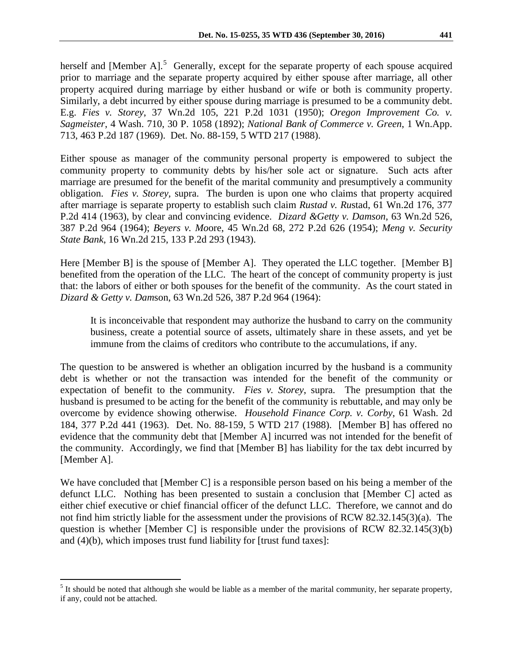herself and [Member A]. $<sup>5</sup>$  $<sup>5</sup>$  $<sup>5</sup>$  Generally, except for the separate property of each spouse acquired</sup> prior to marriage and the separate property acquired by either spouse after marriage, all other property acquired during marriage by either husband or wife or both is community property. Similarly, a debt incurred by either spouse during marriage is presumed to be a community debt. E.g. *Fies v. Storey*, 37 Wn.2d 105, 221 P.2d 1031 (1950); *Oregon Improvement Co. v. Sagmeister*, 4 Wash. 710, 30 P. 1058 (1892); *National Bank of Commerce v. Green*, 1 Wn.App. 713, 463 P.2d 187 (1969). Det. No. 88-159, 5 WTD 217 (1988).

Either spouse as manager of the community personal property is empowered to subject the community property to community debts by his/her sole act or signature. Such acts after marriage are presumed for the benefit of the marital community and presumptively a community obligation. *Fies v. Storey,* supra. The burden is upon one who claims that property acquired after marriage is separate property to establish such claim *Rustad v. Ru*stad, 61 Wn.2d 176, 377 P.2d 414 (1963), by clear and convincing evidence. *Dizard &Getty v. Damson*, 63 Wn.2d 526, 387 P.2d 964 (1964); *Beyers v. Mo*ore, 45 Wn.2d 68, 272 P.2d 626 (1954); *Meng v. Security State Bank*, 16 Wn.2d 215, 133 P.2d 293 (1943).

Here [Member B] is the spouse of [Member A]. They operated the LLC together. [Member B] benefited from the operation of the LLC. The heart of the concept of community property is just that: the labors of either or both spouses for the benefit of the community. As the court stated in *Dizard & Getty v. Dam*son, 63 Wn.2d 526, 387 P.2d 964 (1964):

It is inconceivable that respondent may authorize the husband to carry on the community business, create a potential source of assets, ultimately share in these assets, and yet be immune from the claims of creditors who contribute to the accumulations, if any.

The question to be answered is whether an obligation incurred by the husband is a community debt is whether or not the transaction was intended for the benefit of the community or expectation of benefit to the community. *Fies v. Storey*, supra. The presumption that the husband is presumed to be acting for the benefit of the community is rebuttable, and may only be overcome by evidence showing otherwise. *Household Finance Corp. v. Corby*, 61 Wash. 2d 184, 377 P.2d 441 (1963). Det. No. 88-159, 5 WTD 217 (1988). [Member B] has offered no evidence that the community debt that [Member A] incurred was not intended for the benefit of the community. Accordingly, we find that [Member B] has liability for the tax debt incurred by [Member A].

We have concluded that [Member C] is a responsible person based on his being a member of the defunct LLC. Nothing has been presented to sustain a conclusion that [Member C] acted as either chief executive or chief financial officer of the defunct LLC. Therefore, we cannot and do not find him strictly liable for the assessment under the provisions of RCW 82.32.145(3)(a). The question is whether [Member C] is responsible under the provisions of RCW 82.32.145(3)(b) and (4)(b), which imposes trust fund liability for [trust fund taxes]:

<span id="page-5-0"></span> $<sup>5</sup>$  It should be noted that although she would be liable as a member of the marital community, her separate property,</sup> if any, could not be attached.